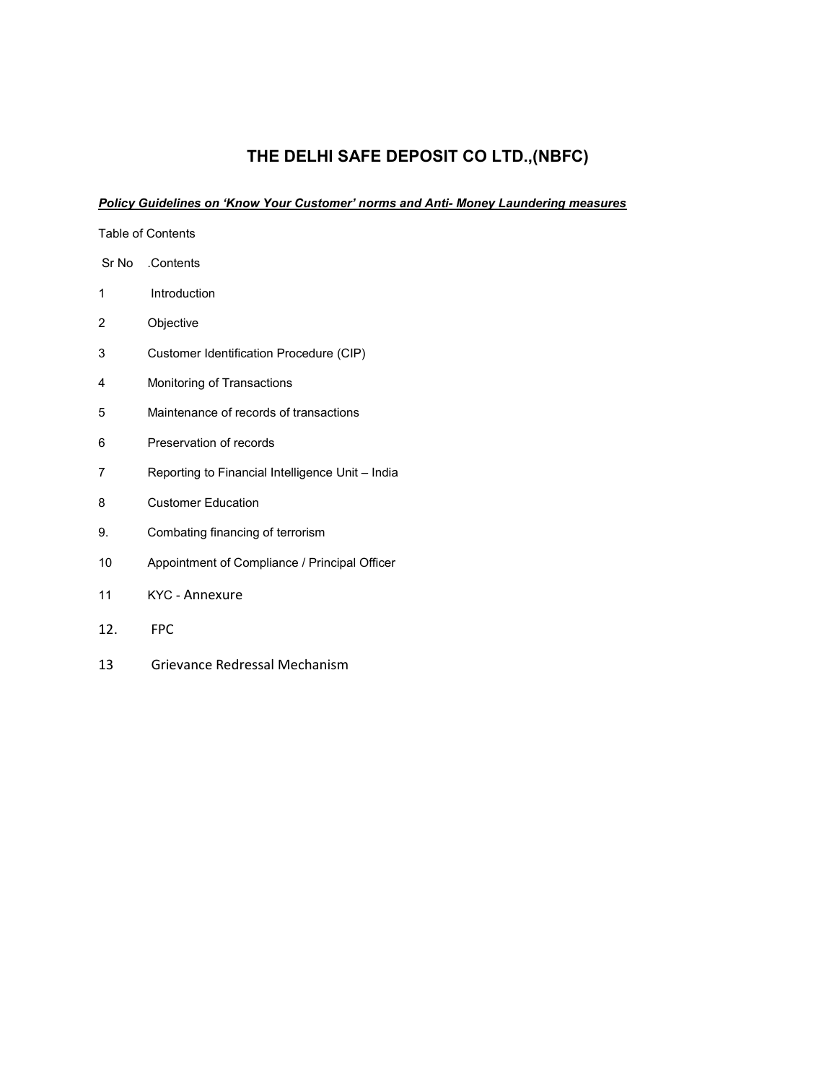# THE DELHI SAFE DEPOSIT CO LTD.,(NBFC)

## Policy Guidelines on 'Know Your Customer' norms and Anti- Money Laundering measures

| <b>Table of Contents</b> |                                                  |  |  |
|--------------------------|--------------------------------------------------|--|--|
|                          | Sr No Contents                                   |  |  |
| 1                        | Introduction                                     |  |  |
| 2                        | Objective                                        |  |  |
| 3                        | Customer Identification Procedure (CIP)          |  |  |
| 4                        | Monitoring of Transactions                       |  |  |
| 5                        | Maintenance of records of transactions           |  |  |
| 6                        | Preservation of records                          |  |  |
| 7                        | Reporting to Financial Intelligence Unit - India |  |  |
| 8                        | <b>Customer Education</b>                        |  |  |
| 9.                       | Combating financing of terrorism                 |  |  |
| 10                       | Appointment of Compliance / Principal Officer    |  |  |
| 11                       | KYC - Annexure                                   |  |  |
| 12.                      | <b>FPC</b>                                       |  |  |

13 Grievance Redressal Mechanism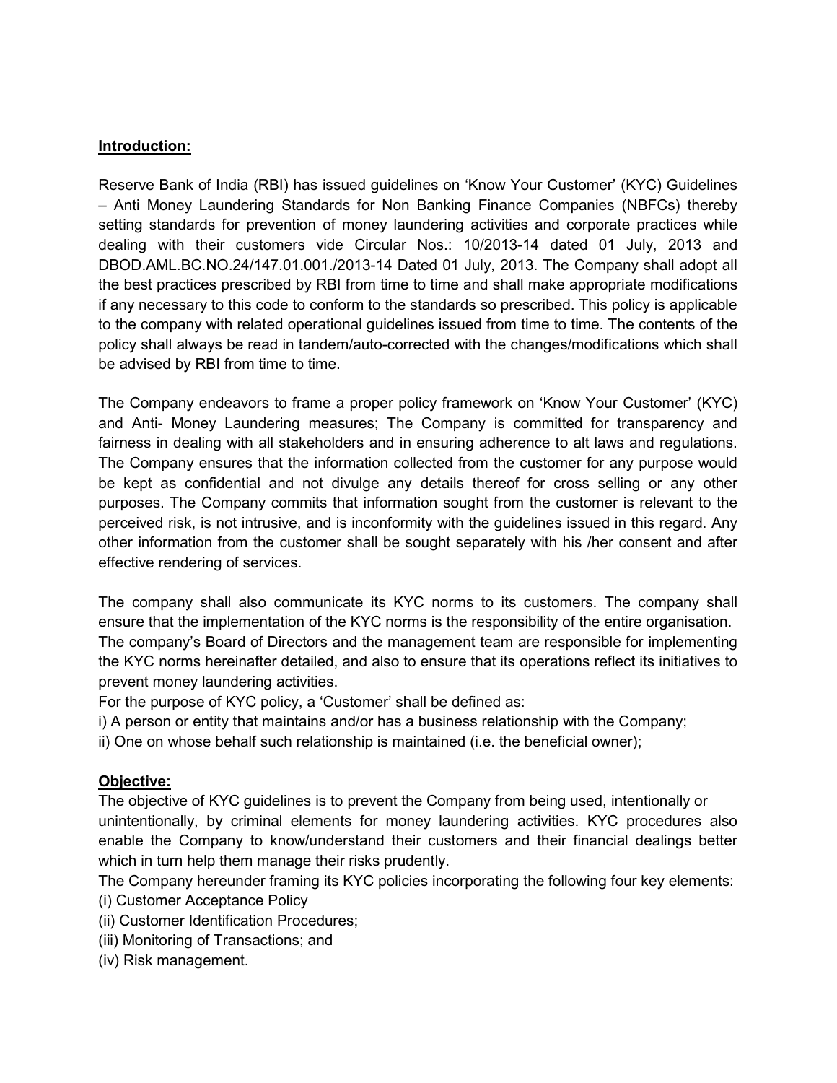### Introduction:

Reserve Bank of India (RBI) has issued guidelines on 'Know Your Customer' (KYC) Guidelines – Anti Money Laundering Standards for Non Banking Finance Companies (NBFCs) thereby setting standards for prevention of money laundering activities and corporate practices while dealing with their customers vide Circular Nos.: 10/2013-14 dated 01 July, 2013 and DBOD.AML.BC.NO.24/147.01.001./2013-14 Dated 01 July, 2013. The Company shall adopt all the best practices prescribed by RBI from time to time and shall make appropriate modifications if any necessary to this code to conform to the standards so prescribed. This policy is applicable to the company with related operational guidelines issued from time to time. The contents of the policy shall always be read in tandem/auto-corrected with the changes/modifications which shall be advised by RBI from time to time.

The Company endeavors to frame a proper policy framework on 'Know Your Customer' (KYC) and Anti- Money Laundering measures; The Company is committed for transparency and fairness in dealing with all stakeholders and in ensuring adherence to alt laws and regulations. The Company ensures that the information collected from the customer for any purpose would be kept as confidential and not divulge any details thereof for cross selling or any other purposes. The Company commits that information sought from the customer is relevant to the perceived risk, is not intrusive, and is inconformity with the guidelines issued in this regard. Any other information from the customer shall be sought separately with his /her consent and after effective rendering of services.

The company shall also communicate its KYC norms to its customers. The company shall ensure that the implementation of the KYC norms is the responsibility of the entire organisation. The company's Board of Directors and the management team are responsible for implementing the KYC norms hereinafter detailed, and also to ensure that its operations reflect its initiatives to prevent money laundering activities.

For the purpose of KYC policy, a 'Customer' shall be defined as:

- i) A person or entity that maintains and/or has a business relationship with the Company;
- ii) One on whose behalf such relationship is maintained (i.e. the beneficial owner);

# Objective:

The objective of KYC guidelines is to prevent the Company from being used, intentionally or unintentionally, by criminal elements for money laundering activities. KYC procedures also enable the Company to know/understand their customers and their financial dealings better which in turn help them manage their risks prudently.

The Company hereunder framing its KYC policies incorporating the following four key elements: (i) Customer Acceptance Policy

- (ii) Customer Identification Procedures;
- (iii) Monitoring of Transactions; and
- (iv) Risk management.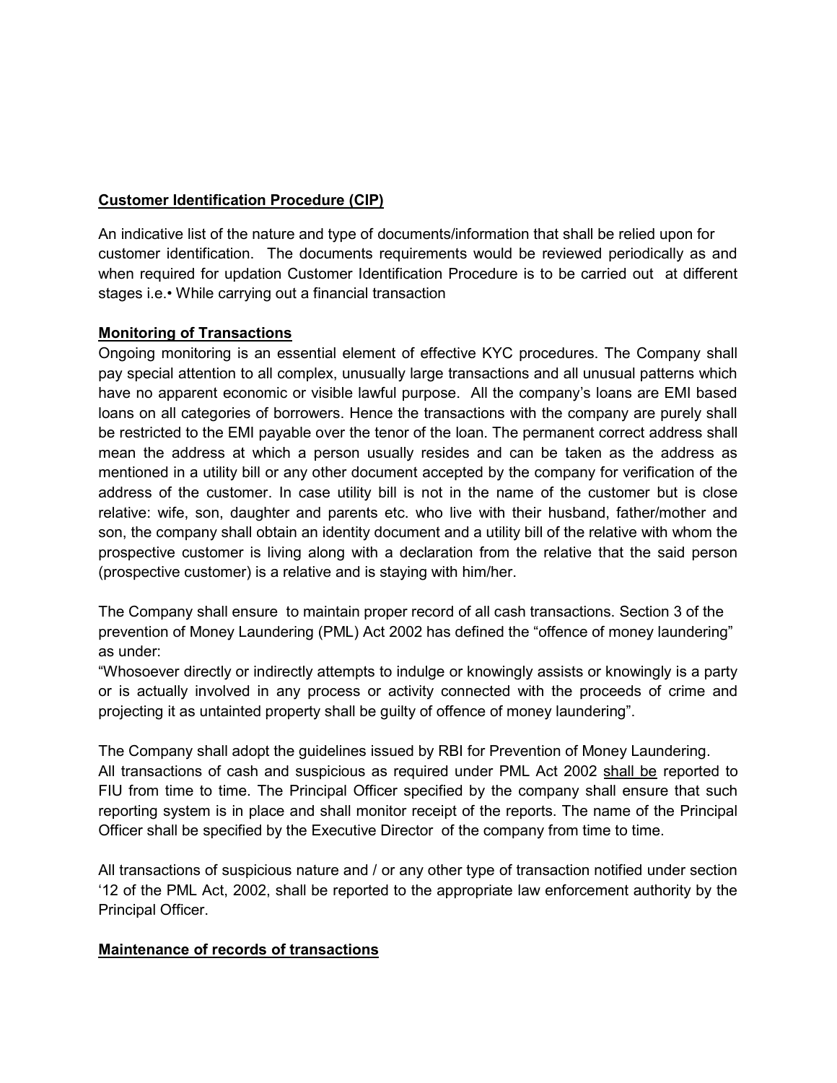# Customer Identification Procedure (CIP)

An indicative list of the nature and type of documents/information that shall be relied upon for customer identification. The documents requirements would be reviewed periodically as and when required for updation Customer Identification Procedure is to be carried out at different stages i.e.• While carrying out a financial transaction

### Monitoring of Transactions

Ongoing monitoring is an essential element of effective KYC procedures. The Company shall pay special attention to all complex, unusually large transactions and all unusual patterns which have no apparent economic or visible lawful purpose. All the company's loans are EMI based loans on all categories of borrowers. Hence the transactions with the company are purely shall be restricted to the EMI payable over the tenor of the loan. The permanent correct address shall mean the address at which a person usually resides and can be taken as the address as mentioned in a utility bill or any other document accepted by the company for verification of the address of the customer. In case utility bill is not in the name of the customer but is close relative: wife, son, daughter and parents etc. who live with their husband, father/mother and son, the company shall obtain an identity document and a utility bill of the relative with whom the prospective customer is living along with a declaration from the relative that the said person (prospective customer) is a relative and is staying with him/her.

The Company shall ensure to maintain proper record of all cash transactions. Section 3 of the prevention of Money Laundering (PML) Act 2002 has defined the "offence of money laundering" as under:

"Whosoever directly or indirectly attempts to indulge or knowingly assists or knowingly is a party or is actually involved in any process or activity connected with the proceeds of crime and projecting it as untainted property shall be guilty of offence of money laundering".

The Company shall adopt the guidelines issued by RBI for Prevention of Money Laundering. All transactions of cash and suspicious as required under PML Act 2002 shall be reported to FIU from time to time. The Principal Officer specified by the company shall ensure that such reporting system is in place and shall monitor receipt of the reports. The name of the Principal Officer shall be specified by the Executive Director of the company from time to time.

All transactions of suspicious nature and / or any other type of transaction notified under section '12 of the PML Act, 2002, shall be reported to the appropriate law enforcement authority by the Principal Officer.

### Maintenance of records of transactions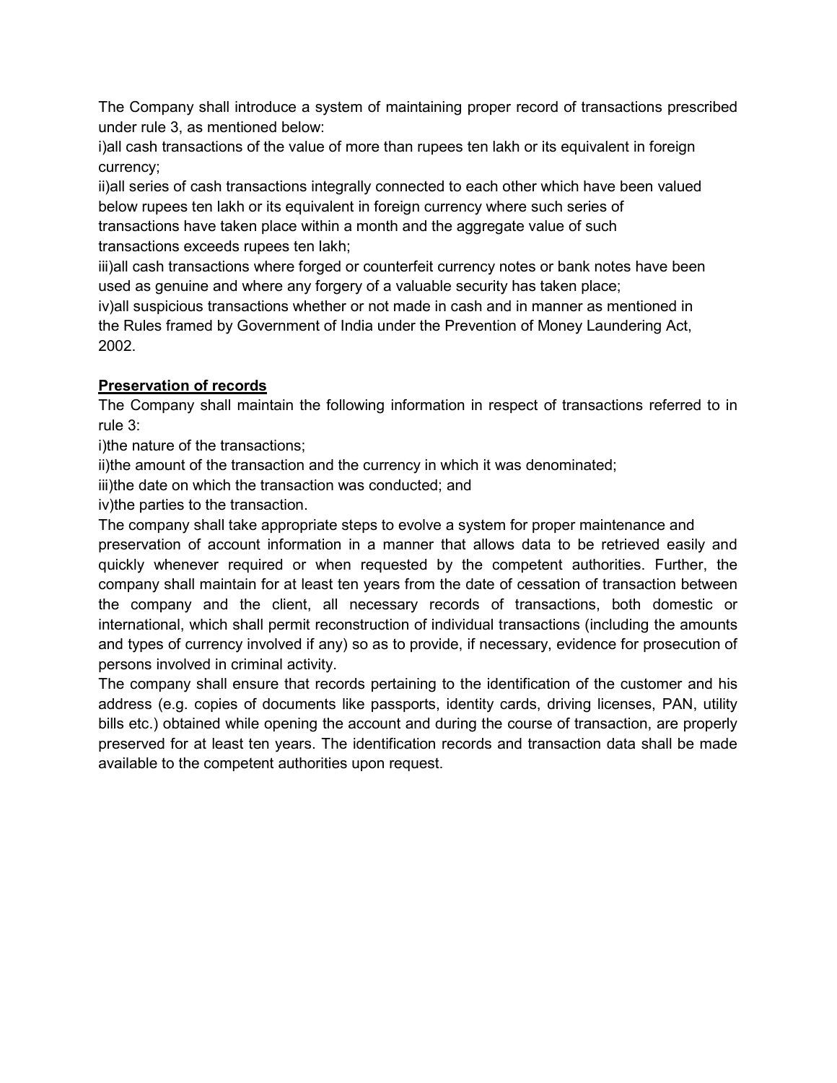The Company shall introduce a system of maintaining proper record of transactions prescribed under rule 3, as mentioned below:

i)all cash transactions of the value of more than rupees ten lakh or its equivalent in foreign currency;

ii)all series of cash transactions integrally connected to each other which have been valued below rupees ten lakh or its equivalent in foreign currency where such series of transactions have taken place within a month and the aggregate value of such transactions exceeds rupees ten lakh;

iii)all cash transactions where forged or counterfeit currency notes or bank notes have been used as genuine and where any forgery of a valuable security has taken place;

iv)all suspicious transactions whether or not made in cash and in manner as mentioned in the Rules framed by Government of India under the Prevention of Money Laundering Act, 2002.

# Preservation of records

The Company shall maintain the following information in respect of transactions referred to in rule 3:

i)the nature of the transactions;

ii)the amount of the transaction and the currency in which it was denominated;

iii)the date on which the transaction was conducted; and

iv)the parties to the transaction.

The company shall take appropriate steps to evolve a system for proper maintenance and preservation of account information in a manner that allows data to be retrieved easily and

quickly whenever required or when requested by the competent authorities. Further, the company shall maintain for at least ten years from the date of cessation of transaction between the company and the client, all necessary records of transactions, both domestic or international, which shall permit reconstruction of individual transactions (including the amounts and types of currency involved if any) so as to provide, if necessary, evidence for prosecution of persons involved in criminal activity.

The company shall ensure that records pertaining to the identification of the customer and his address (e.g. copies of documents like passports, identity cards, driving licenses, PAN, utility bills etc.) obtained while opening the account and during the course of transaction, are properly preserved for at least ten years. The identification records and transaction data shall be made available to the competent authorities upon request.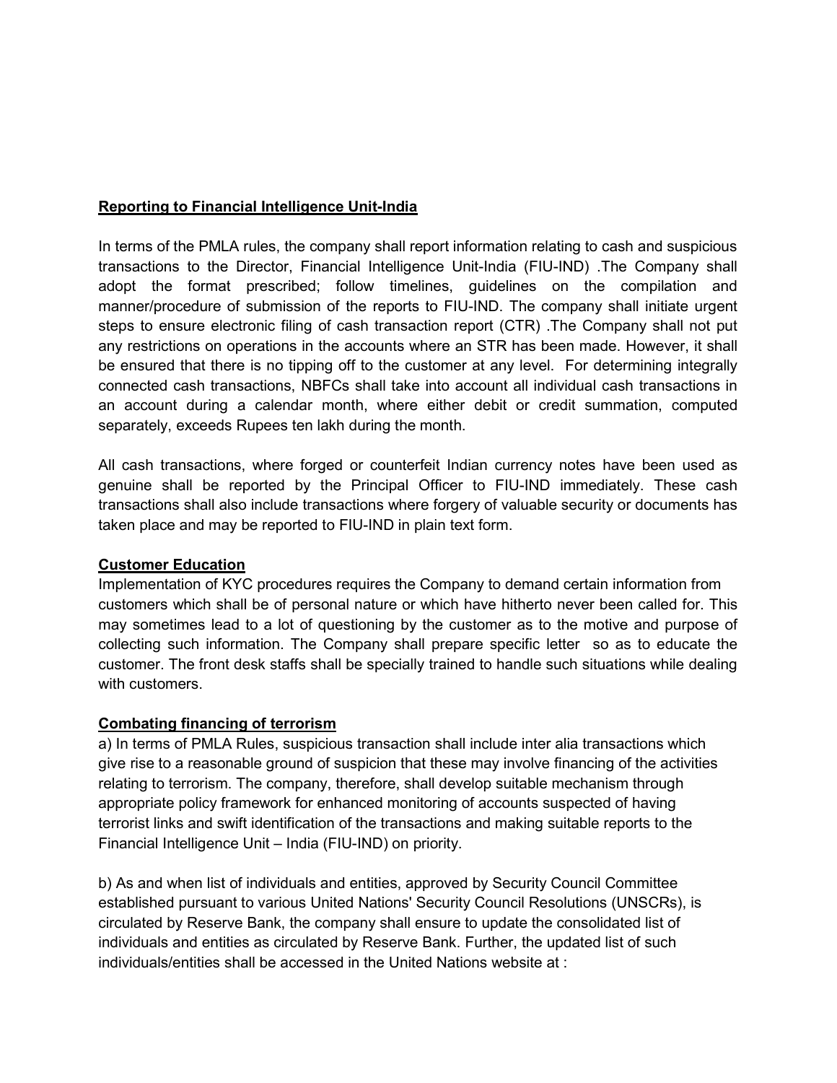## Reporting to Financial Intelligence Unit-India

In terms of the PMLA rules, the company shall report information relating to cash and suspicious transactions to the Director, Financial Intelligence Unit-India (FIU-IND) .The Company shall adopt the format prescribed; follow timelines, guidelines on the compilation and manner/procedure of submission of the reports to FIU-IND. The company shall initiate urgent steps to ensure electronic filing of cash transaction report (CTR) .The Company shall not put any restrictions on operations in the accounts where an STR has been made. However, it shall be ensured that there is no tipping off to the customer at any level. For determining integrally connected cash transactions, NBFCs shall take into account all individual cash transactions in an account during a calendar month, where either debit or credit summation, computed separately, exceeds Rupees ten lakh during the month.

All cash transactions, where forged or counterfeit Indian currency notes have been used as genuine shall be reported by the Principal Officer to FIU-IND immediately. These cash transactions shall also include transactions where forgery of valuable security or documents has taken place and may be reported to FIU-IND in plain text form.

### Customer Education

Implementation of KYC procedures requires the Company to demand certain information from customers which shall be of personal nature or which have hitherto never been called for. This may sometimes lead to a lot of questioning by the customer as to the motive and purpose of collecting such information. The Company shall prepare specific letter so as to educate the customer. The front desk staffs shall be specially trained to handle such situations while dealing with customers.

### Combating financing of terrorism

a) In terms of PMLA Rules, suspicious transaction shall include inter alia transactions which give rise to a reasonable ground of suspicion that these may involve financing of the activities relating to terrorism. The company, therefore, shall develop suitable mechanism through appropriate policy framework for enhanced monitoring of accounts suspected of having terrorist links and swift identification of the transactions and making suitable reports to the Financial Intelligence Unit – India (FIU-IND) on priority.

b) As and when list of individuals and entities, approved by Security Council Committee established pursuant to various United Nations' Security Council Resolutions (UNSCRs), is circulated by Reserve Bank, the company shall ensure to update the consolidated list of individuals and entities as circulated by Reserve Bank. Further, the updated list of such individuals/entities shall be accessed in the United Nations website at :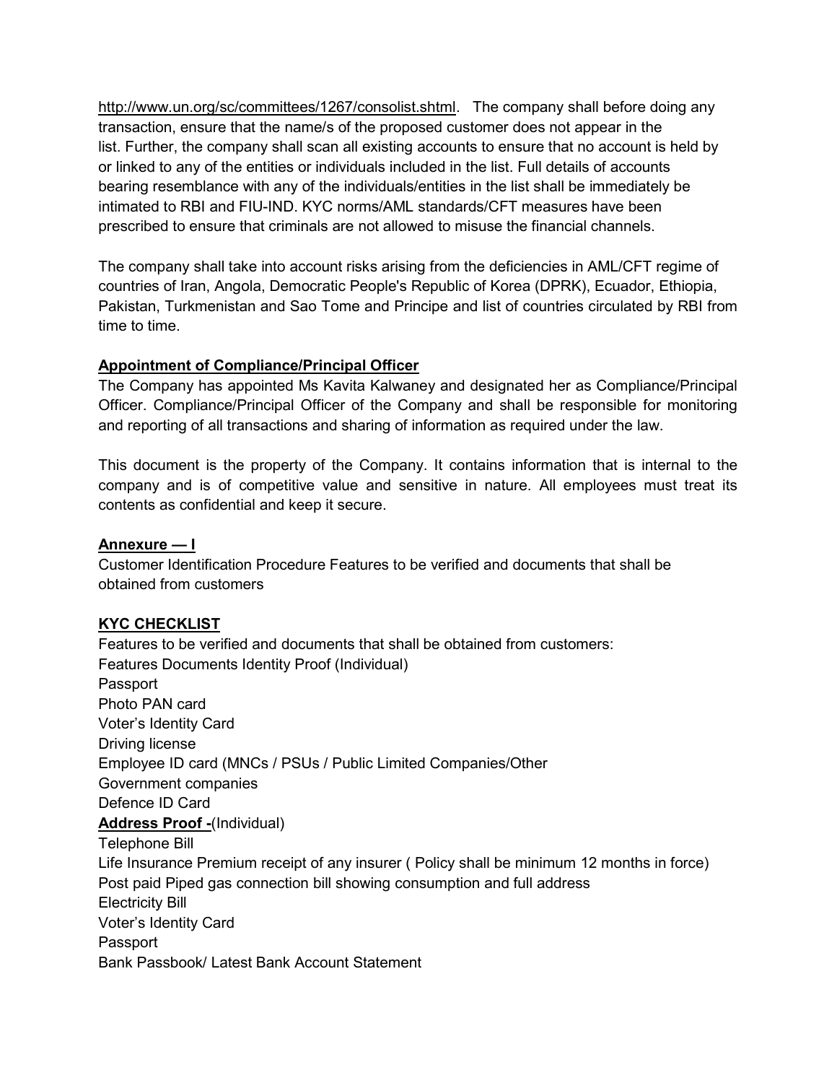http://www.un.org/sc/committees/1267/consolist.shtml. The company shall before doing any transaction, ensure that the name/s of the proposed customer does not appear in the list. Further, the company shall scan all existing accounts to ensure that no account is held by or linked to any of the entities or individuals included in the list. Full details of accounts bearing resemblance with any of the individuals/entities in the list shall be immediately be intimated to RBI and FIU-IND. KYC norms/AML standards/CFT measures have been prescribed to ensure that criminals are not allowed to misuse the financial channels.

The company shall take into account risks arising from the deficiencies in AML/CFT regime of countries of Iran, Angola, Democratic People's Republic of Korea (DPRK), Ecuador, Ethiopia, Pakistan, Turkmenistan and Sao Tome and Principe and list of countries circulated by RBI from time to time.

# Appointment of Compliance/Principal Officer

The Company has appointed Ms Kavita Kalwaney and designated her as Compliance/Principal Officer. Compliance/Principal Officer of the Company and shall be responsible for monitoring and reporting of all transactions and sharing of information as required under the law.

This document is the property of the Company. It contains information that is internal to the company and is of competitive value and sensitive in nature. All employees must treat its contents as confidential and keep it secure.

# Annexure — I

Customer Identification Procedure Features to be verified and documents that shall be obtained from customers

# KYC CHECKLIST

Features to be verified and documents that shall be obtained from customers: Features Documents Identity Proof (Individual) Passport Photo PAN card Voter's Identity Card Driving license Employee ID card (MNCs / PSUs / Public Limited Companies/Other Government companies Defence ID Card Address Proof -(Individual) Telephone Bill Life Insurance Premium receipt of any insurer ( Policy shall be minimum 12 months in force) Post paid Piped gas connection bill showing consumption and full address Electricity Bill Voter's Identity Card Passport Bank Passbook/ Latest Bank Account Statement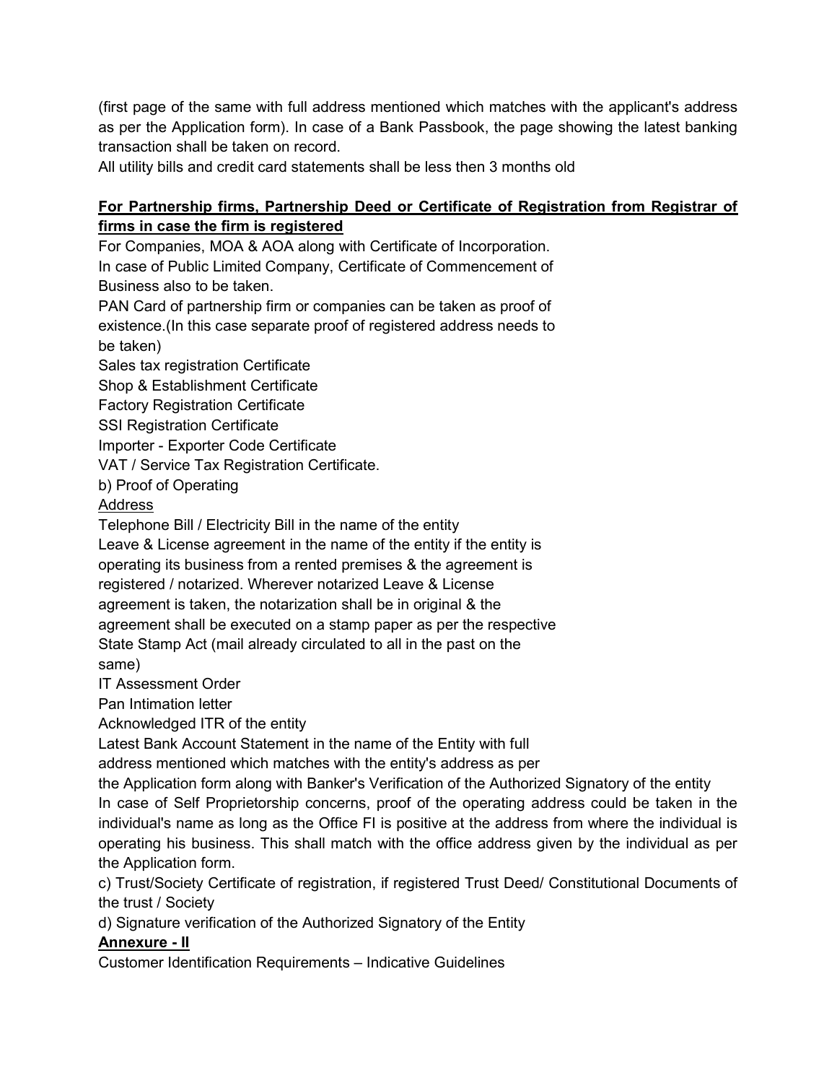(first page of the same with full address mentioned which matches with the applicant's address as per the Application form). In case of a Bank Passbook, the page showing the latest banking transaction shall be taken on record.

All utility bills and credit card statements shall be less then 3 months old

# For Partnership firms, Partnership Deed or Certificate of Registration from Registrar of firms in case the firm is registered

For Companies, MOA & AOA along with Certificate of Incorporation. In case of Public Limited Company, Certificate of Commencement of Business also to be taken.

PAN Card of partnership firm or companies can be taken as proof of existence.(In this case separate proof of registered address needs to be taken)

Sales tax registration Certificate

Shop & Establishment Certificate

Factory Registration Certificate

SSI Registration Certificate

Importer - Exporter Code Certificate

VAT / Service Tax Registration Certificate.

b) Proof of Operating

# Address

Telephone Bill / Electricity Bill in the name of the entity

Leave & License agreement in the name of the entity if the entity is

operating its business from a rented premises & the agreement is

registered / notarized. Wherever notarized Leave & License

agreement is taken, the notarization shall be in original & the

agreement shall be executed on a stamp paper as per the respective

State Stamp Act (mail already circulated to all in the past on the

same)

IT Assessment Order

Pan Intimation letter

Acknowledged ITR of the entity

Latest Bank Account Statement in the name of the Entity with full

address mentioned which matches with the entity's address as per

the Application form along with Banker's Verification of the Authorized Signatory of the entity In case of Self Proprietorship concerns, proof of the operating address could be taken in the individual's name as long as the Office FI is positive at the address from where the individual is operating his business. This shall match with the office address given by the individual as per the Application form.

c) Trust/Society Certificate of registration, if registered Trust Deed/ Constitutional Documents of the trust / Society

d) Signature verification of the Authorized Signatory of the Entity

# Annexure - II

Customer Identification Requirements – Indicative Guidelines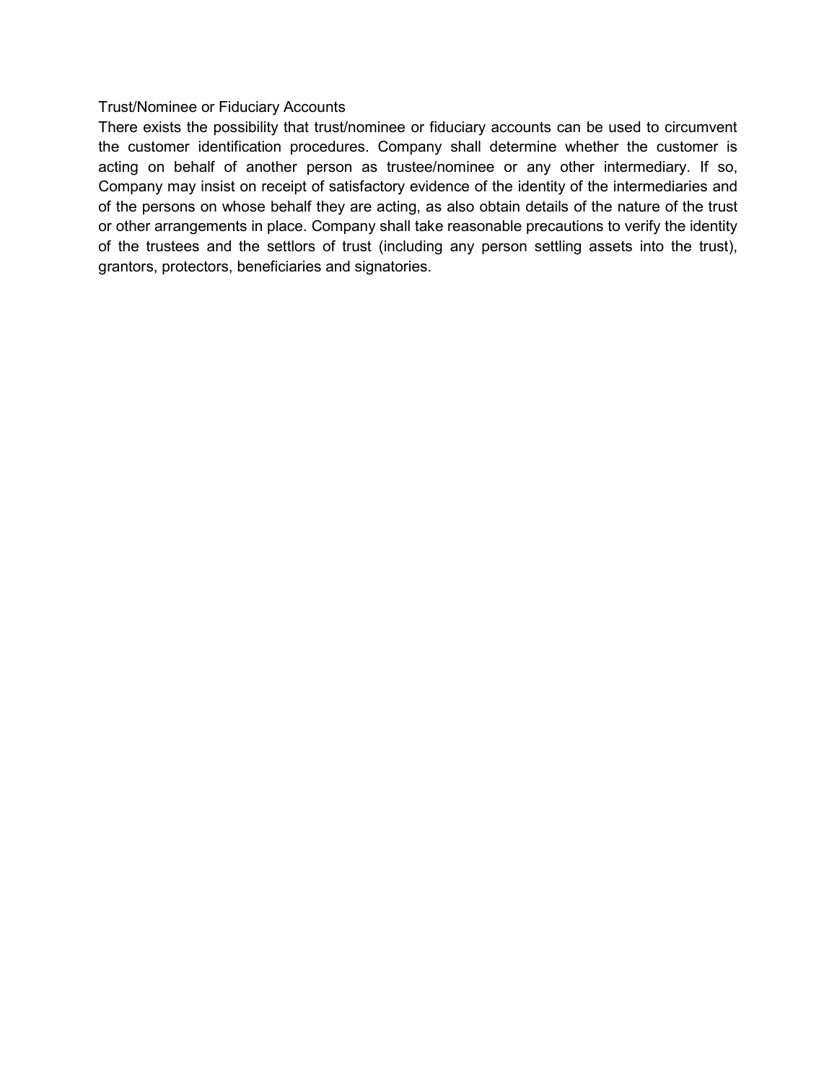#### Trust/Nominee or Fiduciary Accounts

There exists the possibility that trust/nominee or fiduciary accounts can be used to circumvent the customer identification procedures. Company shall determine whether the customer is acting on behalf of another person as trustee/nominee or any other intermediary. If so, Company may insist on receipt of satisfactory evidence of the identity of the intermediaries and of the persons on whose behalf they are acting, as also obtain details of the nature of the trust or other arrangements in place. Company shall take reasonable precautions to verify the identity of the trustees and the settlors of trust (including any person settling assets into the trust), grantors, protectors, beneficiaries and signatories.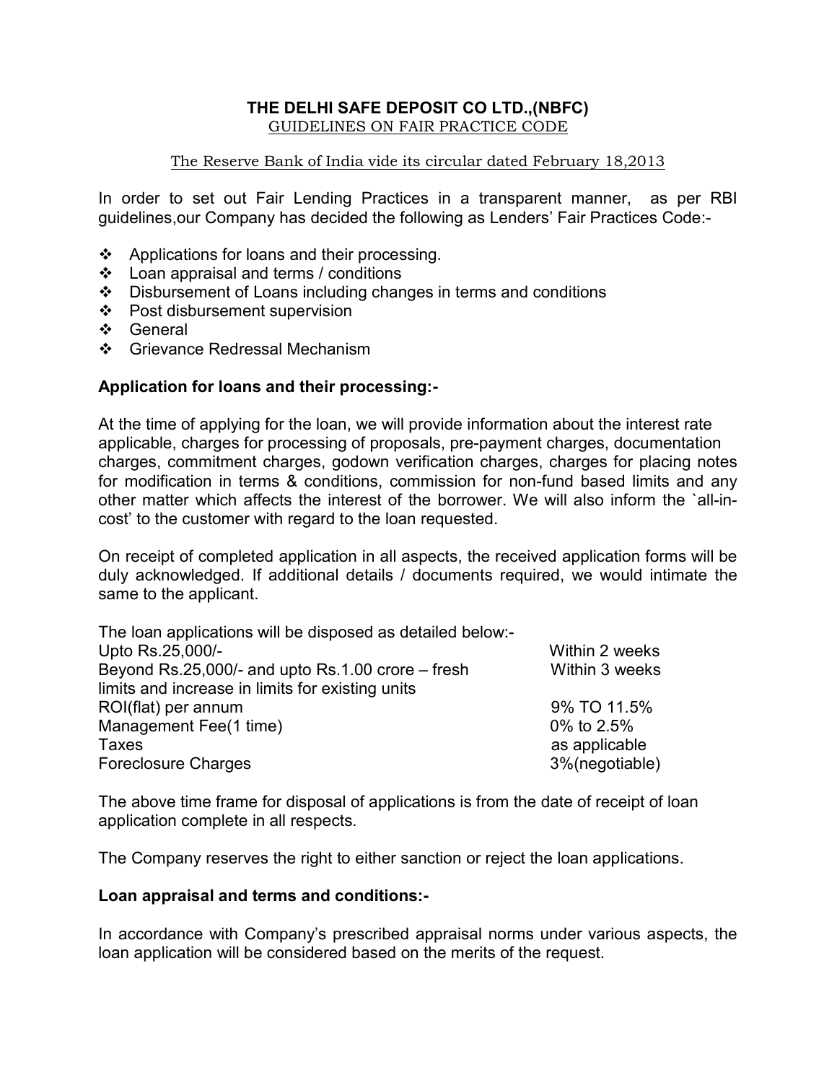### THE DELHI SAFE DEPOSIT CO LTD.,(NBFC) GUIDELINES ON FAIR PRACTICE CODE

## The Reserve Bank of India vide its circular dated February 18,2013

In order to set out Fair Lending Practices in a transparent manner, as per RBI guidelines,our Company has decided the following as Lenders' Fair Practices Code:-

- ❖ Applications for loans and their processing.
- Loan appraisal and terms / conditions
- Disbursement of Loans including changes in terms and conditions
- ❖ Post disbursement supervision
- ❖ General
- ❖ Grievance Redressal Mechanism

# Application for loans and their processing:-

At the time of applying for the loan, we will provide information about the interest rate applicable, charges for processing of proposals, pre-payment charges, documentation charges, commitment charges, godown verification charges, charges for placing notes for modification in terms & conditions, commission for non-fund based limits and any other matter which affects the interest of the borrower. We will also inform the `all-incost' to the customer with regard to the loan requested.

On receipt of completed application in all aspects, the received application forms will be duly acknowledged. If additional details / documents required, we would intimate the same to the applicant.

| The loan applications will be disposed as detailed below:- |                |
|------------------------------------------------------------|----------------|
| Upto Rs.25,000/-                                           | Within 2 weeks |
| Beyond $Rs.25,000/-$ and upto $Rs.1.00$ crore $-$ fresh    | Within 3 weeks |
| limits and increase in limits for existing units           |                |
| ROI(flat) per annum                                        | 9% TO 11.5%    |
| Management Fee(1 time)                                     | 0% to 2.5%     |
| Taxes                                                      | as applicable  |
| <b>Foreclosure Charges</b>                                 | 3%(negotiable) |

The above time frame for disposal of applications is from the date of receipt of loan application complete in all respects.

The Company reserves the right to either sanction or reject the loan applications.

# Loan appraisal and terms and conditions:-

In accordance with Company's prescribed appraisal norms under various aspects, the loan application will be considered based on the merits of the request.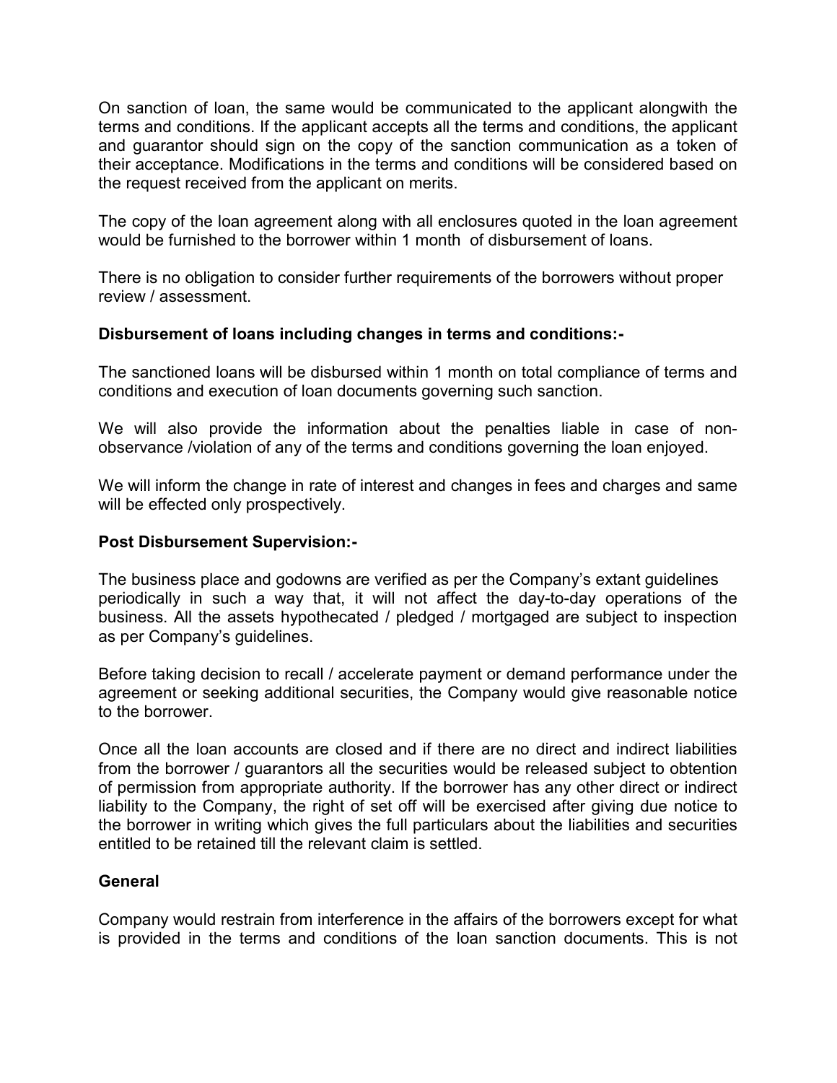On sanction of loan, the same would be communicated to the applicant alongwith the terms and conditions. If the applicant accepts all the terms and conditions, the applicant and guarantor should sign on the copy of the sanction communication as a token of their acceptance. Modifications in the terms and conditions will be considered based on the request received from the applicant on merits.

The copy of the loan agreement along with all enclosures quoted in the loan agreement would be furnished to the borrower within 1 month of disbursement of loans.

There is no obligation to consider further requirements of the borrowers without proper review / assessment.

# Disbursement of loans including changes in terms and conditions:-

The sanctioned loans will be disbursed within 1 month on total compliance of terms and conditions and execution of loan documents governing such sanction.

We will also provide the information about the penalties liable in case of nonobservance /violation of any of the terms and conditions governing the loan enjoyed.

We will inform the change in rate of interest and changes in fees and charges and same will be effected only prospectively.

# Post Disbursement Supervision:-

The business place and godowns are verified as per the Company's extant guidelines periodically in such a way that, it will not affect the day-to-day operations of the business. All the assets hypothecated / pledged / mortgaged are subject to inspection as per Company's guidelines.

Before taking decision to recall / accelerate payment or demand performance under the agreement or seeking additional securities, the Company would give reasonable notice to the borrower.

Once all the loan accounts are closed and if there are no direct and indirect liabilities from the borrower / guarantors all the securities would be released subject to obtention of permission from appropriate authority. If the borrower has any other direct or indirect liability to the Company, the right of set off will be exercised after giving due notice to the borrower in writing which gives the full particulars about the liabilities and securities entitled to be retained till the relevant claim is settled.

# General

Company would restrain from interference in the affairs of the borrowers except for what is provided in the terms and conditions of the loan sanction documents. This is not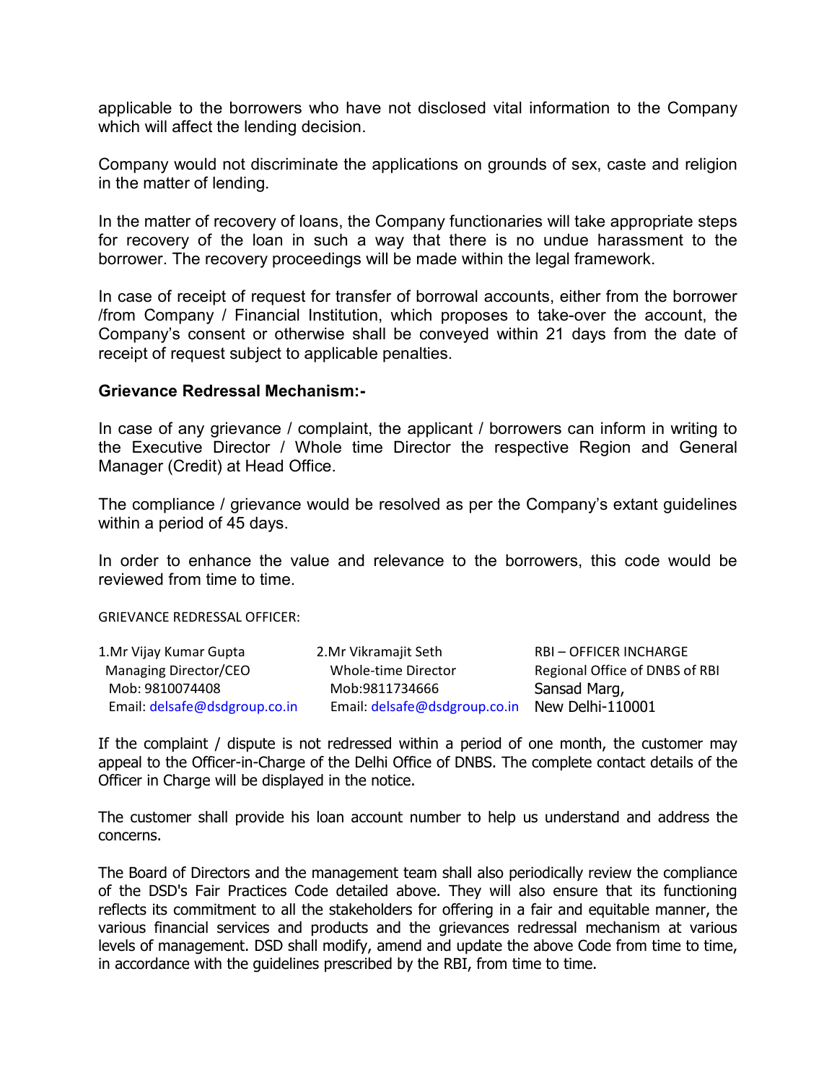applicable to the borrowers who have not disclosed vital information to the Company which will affect the lending decision.

Company would not discriminate the applications on grounds of sex, caste and religion in the matter of lending.

In the matter of recovery of loans, the Company functionaries will take appropriate steps for recovery of the loan in such a way that there is no undue harassment to the borrower. The recovery proceedings will be made within the legal framework.

In case of receipt of request for transfer of borrowal accounts, either from the borrower /from Company / Financial Institution, which proposes to take-over the account, the Company's consent or otherwise shall be conveyed within 21 days from the date of receipt of request subject to applicable penalties.

#### Grievance Redressal Mechanism:-

In case of any grievance / complaint, the applicant / borrowers can inform in writing to the Executive Director / Whole time Director the respective Region and General Manager (Credit) at Head Office.

The compliance / grievance would be resolved as per the Company's extant guidelines within a period of 45 days.

In order to enhance the value and relevance to the borrowers, this code would be reviewed from time to time.

GRIEVANCE REDRESSAL OFFICER:

| 1. Mr Vijay Kumar Gupta       | 2.Mr Vikramajit Seth          | <b>RBI-OFFICER INCHARGE</b>    |
|-------------------------------|-------------------------------|--------------------------------|
| Managing Director/CEO         | Whole-time Director           | Regional Office of DNBS of RBI |
| Mob: 9810074408               | Mob:9811734666                | Sansad Marg,                   |
| Email: delsafe@dsdgroup.co.in | Email: delsafe@dsdgroup.co.in | New Delhi-110001               |

If the complaint / dispute is not redressed within a period of one month, the customer may appeal to the Officer-in-Charge of the Delhi Office of DNBS. The complete contact details of the Officer in Charge will be displayed in the notice.

The customer shall provide his loan account number to help us understand and address the concerns.

The Board of Directors and the management team shall also periodically review the compliance of the DSD's Fair Practices Code detailed above. They will also ensure that its functioning reflects its commitment to all the stakeholders for offering in a fair and equitable manner, the various financial services and products and the grievances redressal mechanism at various levels of management. DSD shall modify, amend and update the above Code from time to time, in accordance with the guidelines prescribed by the RBI, from time to time.